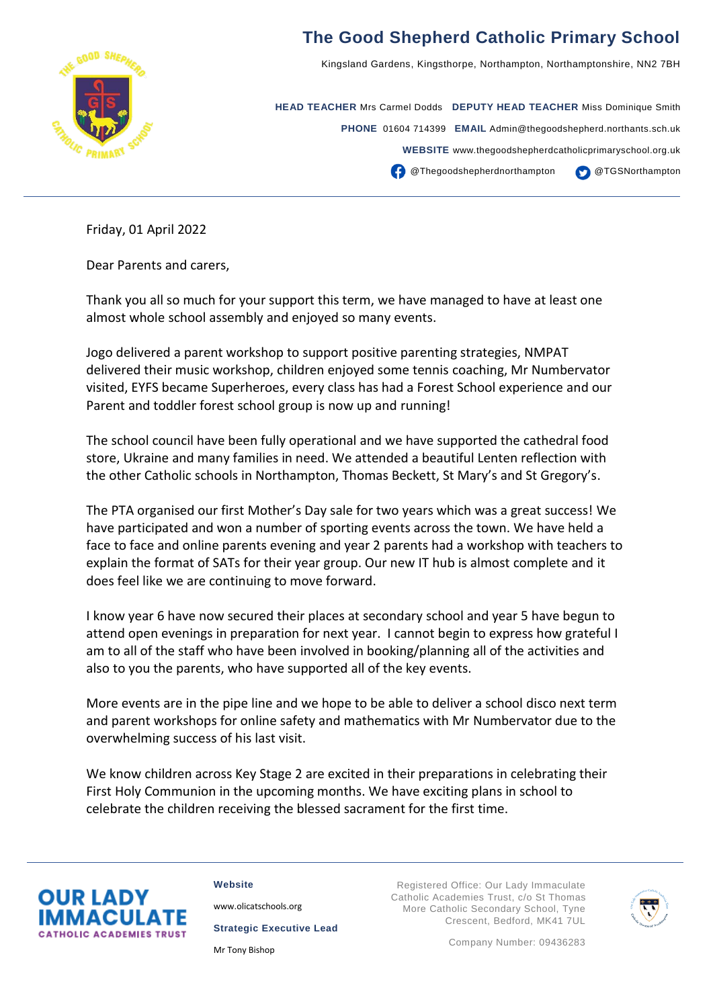

## **The Good Shepherd Catholic Primary School**

Kingsland Gardens, Kingsthorpe, Northampton, Northamptonshire, NN2 7BH

**HEAD TEACHER** Mrs Carmel Dodds **DEPUTY HEAD TEACHER** Miss Dominique Smith **PHONE** 01604 714399 **EMAIL** Admin@thegoodshepherd.northants.sch.uk **WEBSITE** www.thegoodshepherdcatholicprimaryschool.org.uk **CO** @Thegoodshepherdnorthampton @TGSNorthampton

Friday, 01 April 2022

Dear Parents and carers,

Thank you all so much for your support this term, we have managed to have at least one almost whole school assembly and enjoyed so many events.

Jogo delivered a parent workshop to support positive parenting strategies, NMPAT delivered their music workshop, children enjoyed some tennis coaching, Mr Numbervator visited, EYFS became Superheroes, every class has had a Forest School experience and our Parent and toddler forest school group is now up and running!

The school council have been fully operational and we have supported the cathedral food store, Ukraine and many families in need. We attended a beautiful Lenten reflection with the other Catholic schools in Northampton, Thomas Beckett, St Mary's and St Gregory's.

The PTA organised our first Mother's Day sale for two years which was a great success! We have participated and won a number of sporting events across the town. We have held a face to face and online parents evening and year 2 parents had a workshop with teachers to explain the format of SATs for their year group. Our new IT hub is almost complete and it does feel like we are continuing to move forward.

I know year 6 have now secured their places at secondary school and year 5 have begun to attend open evenings in preparation for next year. I cannot begin to express how grateful I am to all of the staff who have been involved in booking/planning all of the activities and also to you the parents, who have supported all of the key events.

More events are in the pipe line and we hope to be able to deliver a school disco next term and parent workshops for online safety and mathematics with Mr Numbervator due to the overwhelming success of his last visit.

We know children across Key Stage 2 are excited in their preparations in celebrating their First Holy Communion in the upcoming months. We have exciting plans in school to celebrate the children receiving the blessed sacrament for the first time.



**Website**

[www.olicatschools.org](http://www.olicatschools.org/)

**Strategic Executive Lead**

Mr Tony Bishop

Registered Office: Our Lady Immaculate Catholic Academies Trust, c/o St Thomas More Catholic Secondary School, Tyne Crescent, Bedford, MK41 7UL



Company Number: 09436283